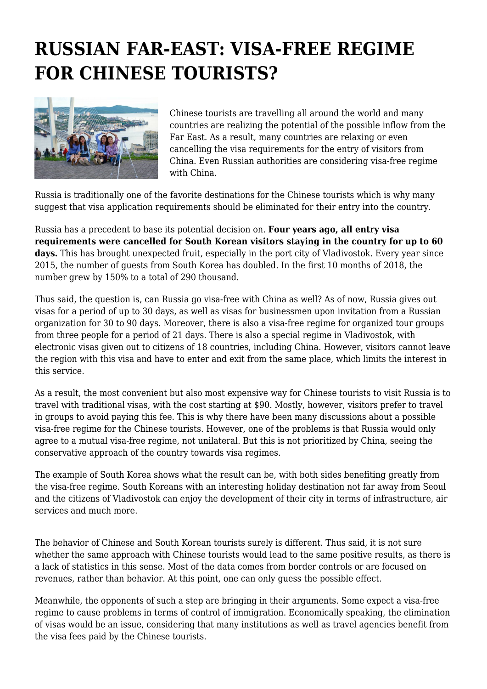## **RUSSIAN FAR-EAST: VISA-FREE REGIME FOR CHINESE TOURISTS?**



Chinese tourists are travelling all around the world and many countries are realizing the potential of the possible inflow from the Far East. As a result, many countries are relaxing or even cancelling the visa requirements for the entry of visitors from China. Even Russian authorities are considering visa-free regime with China.

Russia is traditionally one of the favorite destinations for the Chinese tourists which is why many suggest that visa application requirements should be eliminated for their entry into the country.

Russia has a precedent to base its potential decision on. **Four years ago, all entry visa requirements were cancelled for South Korean visitors staying in the country for up to 60** days. This has brought unexpected fruit, especially in the port city of Vladivostok. Every year since 2015, the number of guests from South Korea has doubled. In the first 10 months of 2018, the number grew by 150% to a total of 290 thousand.

Thus said, the question is, can Russia go visa-free with China as well? As of now, Russia gives out visas for a period of up to 30 days, as well as visas for businessmen upon invitation from a Russian organization for 30 to 90 days. Moreover, there is also a visa-free regime for organized tour groups from three people for a period of 21 days. There is also a special regime in Vladivostok, with electronic visas given out to citizens of 18 countries, including China. However, visitors cannot leave the region with this visa and have to enter and exit from the same place, which limits the interest in this service.

As a result, the most convenient but also most expensive way for Chinese tourists to visit Russia is to travel with traditional visas, with the cost starting at \$90. Mostly, however, visitors prefer to travel in groups to avoid paying this fee. This is why there have been many discussions about a possible visa-free regime for the Chinese tourists. However, one of the problems is that Russia would only agree to a mutual visa-free regime, not unilateral. But this is not prioritized by China, seeing the conservative approach of the country towards visa regimes.

The example of South Korea shows what the result can be, with both sides benefiting greatly from the visa-free regime. South Koreans with an interesting holiday destination not far away from Seoul and the citizens of Vladivostok can enjoy the development of their city in terms of infrastructure, air services and much more.

The behavior of Chinese and South Korean tourists surely is different. Thus said, it is not sure whether the same approach with Chinese tourists would lead to the same positive results, as there is a lack of statistics in this sense. Most of the data comes from border controls or are focused on revenues, rather than behavior. At this point, one can only guess the possible effect.

Meanwhile, the opponents of such a step are bringing in their arguments. Some expect a visa-free regime to cause problems in terms of control of immigration. Economically speaking, the elimination of visas would be an issue, considering that many institutions as well as travel agencies benefit from the visa fees paid by the Chinese tourists.